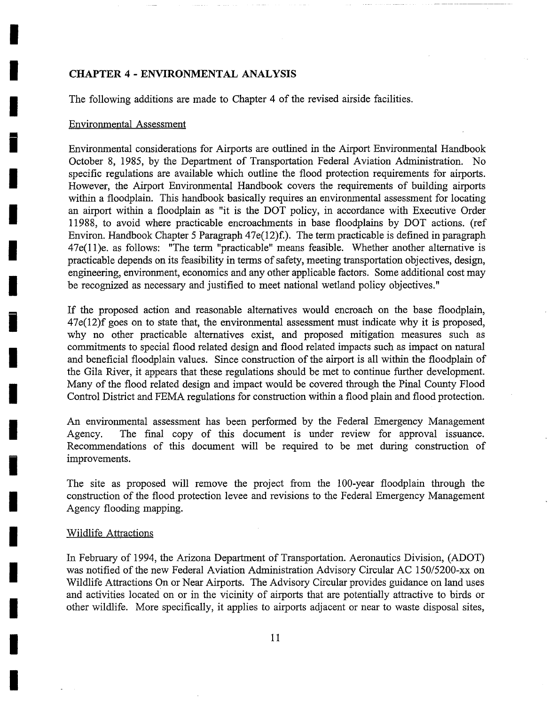## **CHAPTER 4 - ENVIRONMENTAL ANALYSIS**

The following additions are made to Chapter 4 of the revised airside facilities.

## Environmental Assessment

Environmental considerations for Airports are outlined in the Airport Environmental Handbook October 8, 1985, by the Department of Transportation Federal Aviation Administration. No specific regulations are available which outline the flood protection requirements for airports. However, the Airport Environmental Handbook covers the requirements of building airports within a floodplain. This handbook basically requires an environmental assessment for locating an airport within a floodplain as "it is the DOT policy, in accordance with Executive Order 11988, to avoid where practicable encroachments in base floodplains by DOT actions. (ref Environ. Handbook Chapter 5 Paragraph  $47e(12)f$ . The term practicable is defined in paragraph 47e(11)e. as follows: "The term "practicable" means feasible. Whether another alternative is practicable depends on its feasibility in terms of safety, meeting transportation objectives, design, engineering, environment, economics and any other applicable factors. Some additional cost may be recognized as necessary and justified to meet national wetland policy objectives."

If the proposed action and reasonable alternatives would encroach on the base floodplain, 47e(12)f goes on to state that, the environmental assessment must indicate why it is proposed, why no other practicable alternatives exist, and proposed mitigation measures such as commitments to special flood related design and flood related impacts such as impact on natural and beneficial floodplain values. Since construction of the airport is all within the floodplain of the Gila River, it appears that these regulations should be met to continue further development. Many of the flood related design and impact would be covered through the Pinal County Flood Control District and FEMA regulations for construction within a flood plain and flood protection.

An environmental assessment has been performed by the Federal Emergency Management Agency. The final copy of this document is under review for approval issuance. Recommendations of this document will be required to be met during construction of improvements.

The site as proposed will remove the project from the 100-year floodplain through the construction of the flood protection levee and revisions to the Federal Emergency Management Agency flooding mapping.

## Wildlife Attractions

**!** 

In February of 1994, the Arizona Department of Transportation. Aeronautics Division, (ADOT) was notified of the new Federal Aviation Administration Advisory Circular AC 150/5200-xx on Wildlife Attractions On or Near Airports. The Advisory Circular provides guidance on land uses and activities located on or in the vicinity of airports that are potentially attractive to birds or other wildlife. More specifically, it applies to airports adjacent or near to waste disposal sites,